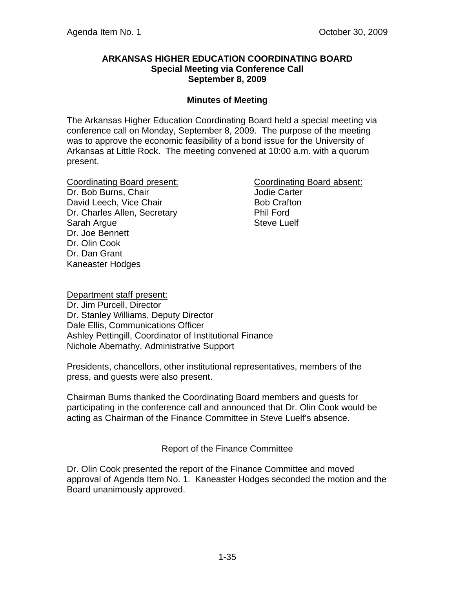## **ARKANSAS HIGHER EDUCATION COORDINATING BOARD Special Meeting via Conference Call September 8, 2009**

## **Minutes of Meeting**

The Arkansas Higher Education Coordinating Board held a special meeting via conference call on Monday, September 8, 2009. The purpose of the meeting was to approve the economic feasibility of a bond issue for the University of Arkansas at Little Rock. The meeting convened at 10:00 a.m. with a quorum present.

Coordinating Board present: Coordinating Board absent: Dr. Bob Burns, Chair **Jodie Carter** David Leech, Vice Chair **Bob Crafton** Dr. Charles Allen, Secretary Phil Ford Sarah Argue **Steve Luelf** Dr. Joe Bennett Dr. Olin Cook Dr. Dan Grant Kaneaster Hodges

Department staff present: Dr. Jim Purcell, Director Dr. Stanley Williams, Deputy Director Dale Ellis, Communications Officer Ashley Pettingill, Coordinator of Institutional Finance Nichole Abernathy, Administrative Support

Presidents, chancellors, other institutional representatives, members of the press, and guests were also present.

Chairman Burns thanked the Coordinating Board members and guests for participating in the conference call and announced that Dr. Olin Cook would be acting as Chairman of the Finance Committee in Steve Luelf's absence.

Report of the Finance Committee

Dr. Olin Cook presented the report of the Finance Committee and moved approval of Agenda Item No. 1. Kaneaster Hodges seconded the motion and the Board unanimously approved.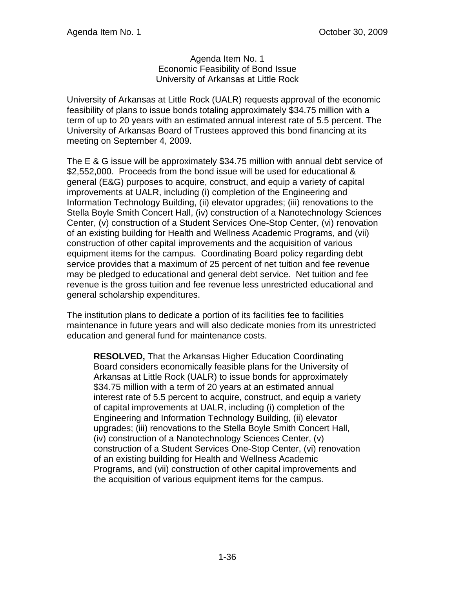## Agenda Item No. 1 Economic Feasibility of Bond Issue University of Arkansas at Little Rock

University of Arkansas at Little Rock (UALR) requests approval of the economic feasibility of plans to issue bonds totaling approximately \$34.75 million with a term of up to 20 years with an estimated annual interest rate of 5.5 percent. The University of Arkansas Board of Trustees approved this bond financing at its meeting on September 4, 2009.

The E & G issue will be approximately \$34.75 million with annual debt service of \$2,552,000. Proceeds from the bond issue will be used for educational & general (E&G) purposes to acquire, construct, and equip a variety of capital improvements at UALR, including (i) completion of the Engineering and Information Technology Building, (ii) elevator upgrades; (iii) renovations to the Stella Boyle Smith Concert Hall, (iv) construction of a Nanotechnology Sciences Center, (v) construction of a Student Services One-Stop Center, (vi) renovation of an existing building for Health and Wellness Academic Programs, and (vii) construction of other capital improvements and the acquisition of various equipment items for the campus. Coordinating Board policy regarding debt service provides that a maximum of 25 percent of net tuition and fee revenue may be pledged to educational and general debt service. Net tuition and fee revenue is the gross tuition and fee revenue less unrestricted educational and general scholarship expenditures.

The institution plans to dedicate a portion of its facilities fee to facilities maintenance in future years and will also dedicate monies from its unrestricted education and general fund for maintenance costs.

**RESOLVED,** That the Arkansas Higher Education Coordinating Board considers economically feasible plans for the University of Arkansas at Little Rock (UALR) to issue bonds for approximately \$34.75 million with a term of 20 years at an estimated annual interest rate of 5.5 percent to acquire, construct, and equip a variety of capital improvements at UALR, including (i) completion of the Engineering and Information Technology Building, (ii) elevator upgrades; (iii) renovations to the Stella Boyle Smith Concert Hall, (iv) construction of a Nanotechnology Sciences Center, (v) construction of a Student Services One-Stop Center, (vi) renovation of an existing building for Health and Wellness Academic Programs, and (vii) construction of other capital improvements and the acquisition of various equipment items for the campus.